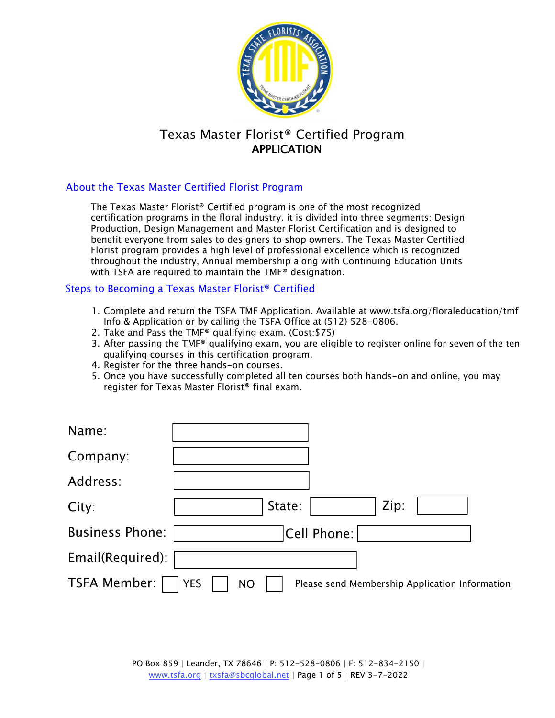

# Texas Master Florist® Certified Program APPLICATION

## About the Texas Master Certified Florist Program

The Texas Master Florist® Certified program is one of the most recognized certification programs in the floral industry. it is divided into three segments: Design Production, Design Management and Master Florist Certification and is designed to benefit everyone from sales to designers to shop owners. The Texas Master Certified Florist program provides a high level of professional excellence which is recognized throughout the industry, Annual membership along with Continuing Education Units with TSFA are required to maintain the TMF® designation.

#### Steps to Becoming a Texas Master Florist® Certified

- 1. Complete and return the TSFA TMF Application. Available at www.tsfa.org/floraleducation/tmf Info & Application or by calling the TSFA Office at (512) 528-0806.
- 2. Take and Pass the TMF® qualifying exam. (Cost:\$75)
- 3. After passing the TMF® qualifying exam, you are eligible to register online for seven of the ten qualifying courses in this certification program.
- 4. Register for the three hands-on courses.
- 5. Once you have successfully completed all ten courses both hands-on and online, you may register for Texas Master Florist® final exam.

| Name:                  |                                                                           |
|------------------------|---------------------------------------------------------------------------|
| Company:               |                                                                           |
| Address:               |                                                                           |
| City:                  | Zip:<br>State:                                                            |
| <b>Business Phone:</b> | Cell Phone:                                                               |
| Email(Required):       |                                                                           |
| <b>TSFA Member:</b>    | <b>YES</b><br><b>NO</b><br>Please send Membership Application Information |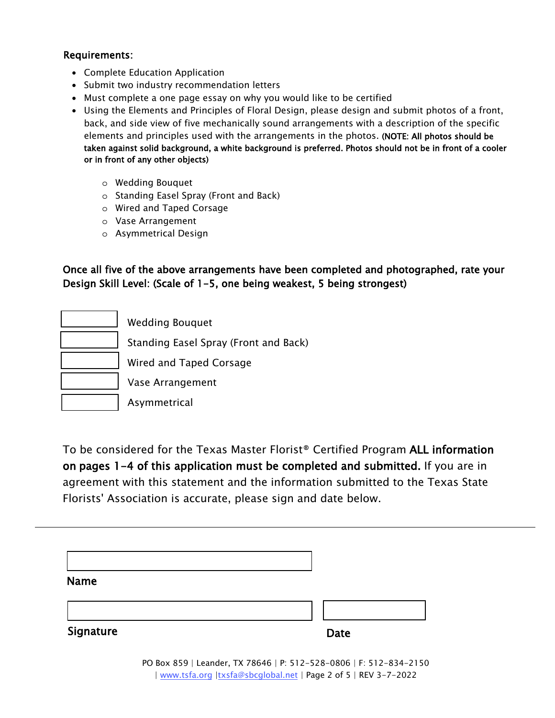#### Requirements:

- Complete Education Application
- Submit two industry recommendation letters
- Must complete a one page essay on why you would like to be certified
- Using the Elements and Principles of Floral Design, please design and submit photos of a front, back, and side view of five mechanically sound arrangements with a description of the specific elements and principles used with the arrangements in the photos. (NOTE: All photos should be taken against solid background, a white background is preferred. Photos should not be in front of a cooler or in front of any other objects)
	- o Wedding Bouquet
	- o Standing Easel Spray (Front and Back)
	- o Wired and Taped Corsage
	- o Vase Arrangement
	- o Asymmetrical Design

Once all five of the above arrangements have been completed and photographed, rate your Design Skill Level: (Scale of 1-5, one being weakest, 5 being strongest)

| <b>Wedding Bouquet</b>                |
|---------------------------------------|
| Standing Easel Spray (Front and Back) |
| Wired and Taped Corsage               |
| Vase Arrangement                      |
| Asymmetrical                          |

To be considered for the Texas Master Florist® Certified Program ALL information on pages 1-4 of this application must be completed and submitted. If you are in agreement with this statement and the information submitted to the Texas State Florists' Association is accurate, please sign and date below.

| <b>Name</b> |             |
|-------------|-------------|
|             |             |
| Signature   | <b>Date</b> |

PO Box 859 | Leander, TX 78646 | P: 512-528-0806 | F: 512-834-2150 | www.tsfa.org |txsfa@sbcglobal.net | Page 2 of 5 | REV 3-7-2022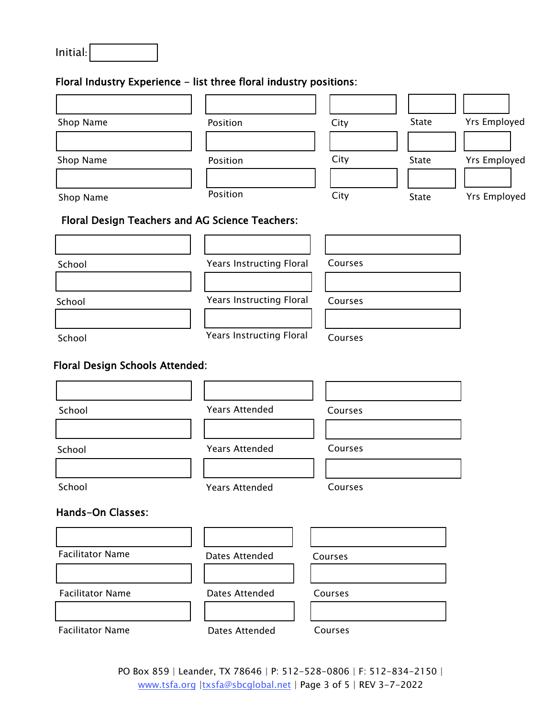| Initial: |  |
|----------|--|
|          |  |

# Floral Industry Experience - list three floral industry positions:

| Shop Name                       | Position                                        | City                                       | State | <b>Yrs Employed</b> |
|---------------------------------|-------------------------------------------------|--------------------------------------------|-------|---------------------|
| Shop Name                       | Position                                        | City                                       | State | <b>Yrs Employed</b> |
| Shop Name                       | Position                                        | City                                       | State | <b>Yrs Employed</b> |
|                                 | Floral Design Teachers and AG Science Teachers: |                                            |       |                     |
| School                          |                                                 | <b>Years Instructing Floral</b><br>Courses |       |                     |
| School                          | <b>Years Instructing Floral</b>                 | Courses                                    |       |                     |
| School                          | <b>Years Instructing Floral</b><br>Courses      |                                            |       |                     |
| Floral Design Schools Attended: |                                                 |                                            |       |                     |
|                                 |                                                 |                                            |       |                     |
| School                          | <b>Years Attended</b>                           | Courses                                    |       |                     |
| School                          | <b>Years Attended</b>                           | Courses                                    |       |                     |
| School                          | <b>Years Attended</b><br>Courses                |                                            |       |                     |
| <b>Hands-On Classes:</b>        |                                                 |                                            |       |                     |
| <b>Facilitator Name</b>         | <b>Dates Attended</b>                           | Courses                                    |       |                     |
| <b>Facilitator Name</b>         | Dates Attended                                  | Courses                                    |       |                     |
| <b>Facilitator Name</b>         | Dates Attended<br>Courses                       |                                            |       |                     |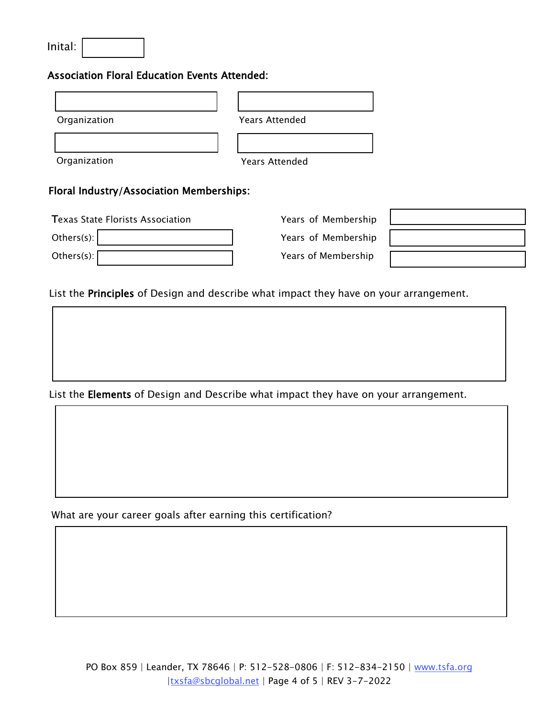| Inital: |  |
|---------|--|
|---------|--|

### Association Floral Education Events Attended:

| Organization | <b>Years Attended</b> |
|--------------|-----------------------|
|              |                       |
| Organization | <b>Years Attended</b> |
| ___<br>.     | . .                   |

#### Floral Industry/Association Memberships:

| <b>Texas State Florists Association</b> |  |  |
|-----------------------------------------|--|--|
| Others $(s)$ :                          |  |  |
| Others(s):                              |  |  |

Years of Membership Years of Membership Years of Membership

|                                                                                                 |  | the contract of the contract of the contract of the contract of the contract of the contract of the contract of |  |
|-------------------------------------------------------------------------------------------------|--|-----------------------------------------------------------------------------------------------------------------|--|
|                                                                                                 |  |                                                                                                                 |  |
|                                                                                                 |  |                                                                                                                 |  |
| the contract of the contract of the contract of the contract of the contract of the contract of |  |                                                                                                                 |  |
|                                                                                                 |  |                                                                                                                 |  |
|                                                                                                 |  |                                                                                                                 |  |

List the Principles of Design and describe what impact they have on your arrangement.

List the Elements of Design and Describe what impact they have on your arrangement.

What are your career goals after earning this certification?